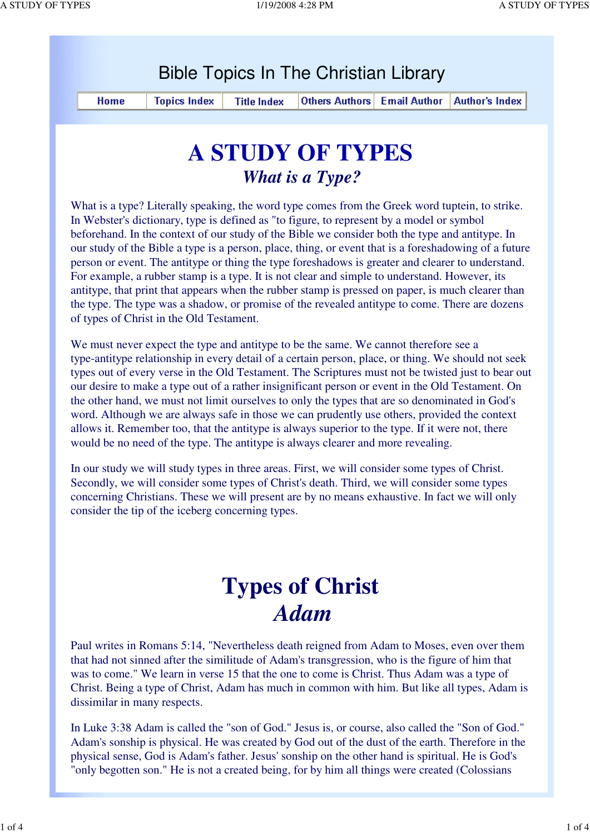| <b>A STUDY OF TYPES</b><br><b>What is a Type?</b><br>In Webster's dictionary, type is defined as "to figure, to represent by a model or symbol<br>beforehand. In the context of our study of the Bible we consider both the type and antitype. In<br>For example, a rubber stamp is a type. It is not clear and simple to understand. However, its<br>of types of Christ in the Old Testament.<br>We must never expect the type and antitype to be the same. We cannot therefore see a<br>the other hand, we must not limit ourselves to only the types that are so denominated in God's<br>word. Although we are always safe in those we can prudently use others, provided the context<br>allows it. Remember too, that the antitype is always superior to the type. If it were not, there<br>would be no need of the type. The antitype is always clearer and more revealing. | Home                                                                                           | <b>Topics Index</b>                                                                                                                                                                                                                                                                                      | <b>Title Index</b> | <b>Others Authors</b> | <b>Email Author</b> | <b>Author's Index</b> |
|----------------------------------------------------------------------------------------------------------------------------------------------------------------------------------------------------------------------------------------------------------------------------------------------------------------------------------------------------------------------------------------------------------------------------------------------------------------------------------------------------------------------------------------------------------------------------------------------------------------------------------------------------------------------------------------------------------------------------------------------------------------------------------------------------------------------------------------------------------------------------------|------------------------------------------------------------------------------------------------|----------------------------------------------------------------------------------------------------------------------------------------------------------------------------------------------------------------------------------------------------------------------------------------------------------|--------------------|-----------------------|---------------------|-----------------------|
|                                                                                                                                                                                                                                                                                                                                                                                                                                                                                                                                                                                                                                                                                                                                                                                                                                                                                  |                                                                                                |                                                                                                                                                                                                                                                                                                          |                    |                       |                     |                       |
| our desire to make a type out of a rather insignificant person or event in the Old Testament. On                                                                                                                                                                                                                                                                                                                                                                                                                                                                                                                                                                                                                                                                                                                                                                                 |                                                                                                |                                                                                                                                                                                                                                                                                                          |                    |                       |                     |                       |
| What is a type? Literally speaking, the word type comes from the Greek word tuptein, to strike.<br>our study of the Bible a type is a person, place, thing, or event that is a foreshadowing of a future<br>person or event. The antitype or thing the type foreshadows is greater and clearer to understand.<br>antitype, that print that appears when the rubber stamp is pressed on paper, is much clearer than<br>the type. The type was a shadow, or promise of the revealed antitype to come. There are dozens<br>type-antitype relationship in every detail of a certain person, place, or thing. We should not seek<br>types out of every verse in the Old Testament. The Scriptures must not be twisted just to bear out                                                                                                                                                |                                                                                                |                                                                                                                                                                                                                                                                                                          |                    |                       |                     |                       |
|                                                                                                                                                                                                                                                                                                                                                                                                                                                                                                                                                                                                                                                                                                                                                                                                                                                                                  |                                                                                                |                                                                                                                                                                                                                                                                                                          |                    |                       |                     |                       |
| In our study we will study types in three areas. First, we will consider some types of Christ.<br>Secondly, we will consider some types of Christ's death. Third, we will consider some types<br>concerning Christians. These we will present are by no means exhaustive. In fact we will only                                                                                                                                                                                                                                                                                                                                                                                                                                                                                                                                                                                   |                                                                                                |                                                                                                                                                                                                                                                                                                          |                    |                       |                     |                       |
|                                                                                                                                                                                                                                                                                                                                                                                                                                                                                                                                                                                                                                                                                                                                                                                                                                                                                  |                                                                                                |                                                                                                                                                                                                                                                                                                          |                    |                       |                     |                       |
|                                                                                                                                                                                                                                                                                                                                                                                                                                                                                                                                                                                                                                                                                                                                                                                                                                                                                  |                                                                                                |                                                                                                                                                                                                                                                                                                          |                    |                       |                     |                       |
| <b>Types of Christ</b><br><b>Adam</b>                                                                                                                                                                                                                                                                                                                                                                                                                                                                                                                                                                                                                                                                                                                                                                                                                                            |                                                                                                |                                                                                                                                                                                                                                                                                                          |                    |                       |                     |                       |
| Paul writes in Romans 5:14, "Nevertheless death reigned from Adam to Moses, even over them<br>that had not sinned after the similitude of Adam's transgression, who is the figure of him that<br>was to come." We learn in verse 15 that the one to come is Christ. Thus Adam was a type of<br>Christ. Being a type of Christ, Adam has much in common with him. But like all types, Adam is<br>dissimilar in many respects.                                                                                                                                                                                                                                                                                                                                                                                                                                                     | "only begotten son." He is not a created being, for by him all things were created (Colossians | In Luke 3:38 Adam is called the "son of God." Jesus is, or course, also called the "Son of God."<br>Adam's sonship is physical. He was created by God out of the dust of the earth. Therefore in the<br>physical sense, God is Adam's father. Jesus' sonship on the other hand is spiritual. He is God's |                    |                       |                     |                       |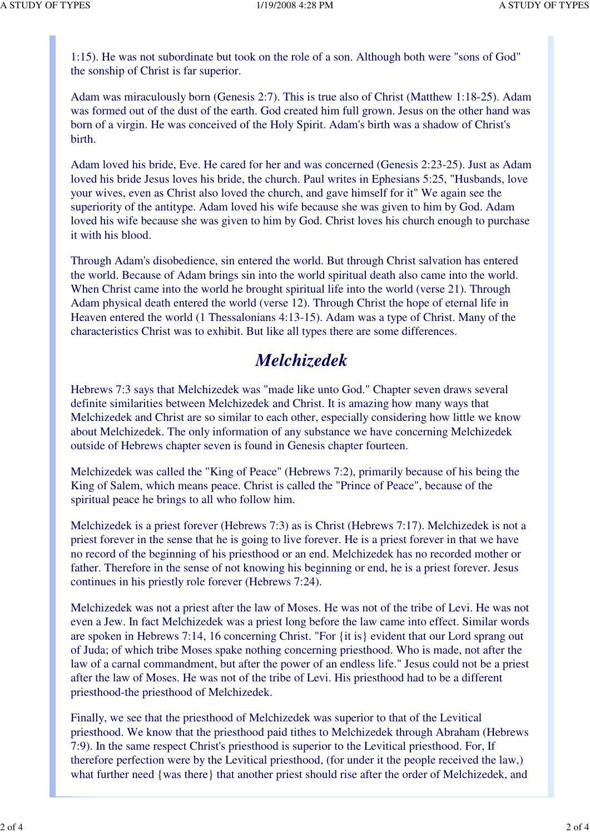1:15). He was not subordinate but took on the role of a son. Although both were "sons of God" the sonship of Christ is far superior.

Adam was miraculously born (Genesis 2:7). This is true also of Christ (Matthew 1:18-25). Adam was formed out of the dust of the earth. God created him full grown. Jesus on the other hand was born of a virgin. He was conceived of the Holy Spirit. Adam's birth was a shadow of Christ's birth.

Adam loved his bride, Eve. He cared for her and was concerned (Genesis 2:23-25). Just as Adam loved his bride Jesus loves his bride, the church. Paul writes in Ephesians 5:25, "Husbands, love your wives, even as Christ also loved the church, and gave himself for it" We again see the superiority of the antitype. Adam loved his wife because she was given to him by God. Adam loved his wife because she was given to him by God. Christ loves his church enough to purchase it with his blood.

Through Adam's disobedience, sin entered the world. But through Christ salvation has entered the world. Because of Adam brings sin into the world spiritual death also came into the world. When Christ came into the world he brought spiritual life into the world (verse 21). Through Adam physical death entered the world (verse 12). Through Christ the hope of eternal life in Heaven entered the world (1 Thessalonians 4:13-15). Adam was a type of Christ. Many of the characteristics Christ was to exhibit. But like all types there are some differences.

## *Melchizedek*

Hebrews 7:3 says that Melchizedek was "made like unto God." Chapter seven draws several definite similarities between Melchizedek and Christ. It is amazing how many ways that Melchizedek and Christ are so similar to each other, especially considering how little we know about Melchizedek. The only information of any substance we have concerning Melchizedek outside of Hebrews chapter seven is found in Genesis chapter fourteen.

Melchizedek was called the "King of Peace" (Hebrews 7:2), primarily because of his being the King of Salem, which means peace. Christ is called the "Prince of Peace", because of the spiritual peace he brings to all who follow him.

Melchizedek is a priest forever (Hebrews 7:3) as is Christ (Hebrews 7:17). Melchizedek is not a priest forever in the sense that he is going to live forever. He is a priest forever in that we have no record of the beginning of his priesthood or an end. Melchizedek has no recorded mother or father. Therefore in the sense of not knowing his beginning or end, he is a priest forever. Jesus continues in his priestly role forever (Hebrews 7:24).

Melchizedek was not a priest after the law of Moses. He was not of the tribe of Levi. He was not even a Jew. In fact Melchizedek was a priest long before the law came into effect. Similar words are spoken in Hebrews 7:14, 16 concerning Christ. "For {it is} evident that our Lord sprang out of Juda; of which tribe Moses spake nothing concerning priesthood. Who is made, not after the law of a carnal commandment, but after the power of an endless life." Jesus could not be a priest after the law of Moses. He was not of the tribe of Levi. His priesthood had to be a different priesthood-the priesthood of Melchizedek.

Finally, we see that the priesthood of Melchizedek was superior to that of the Levitical priesthood. We know that the priesthood paid tithes to Melchizedek through Abraham (Hebrews 7:9). In the same respect Christ's priesthood is superior to the Levitical priesthood. For, If therefore perfection were by the Levitical priesthood, (for under it the people received the law,) what further need {was there} that another priest should rise after the order of Melchizedek, and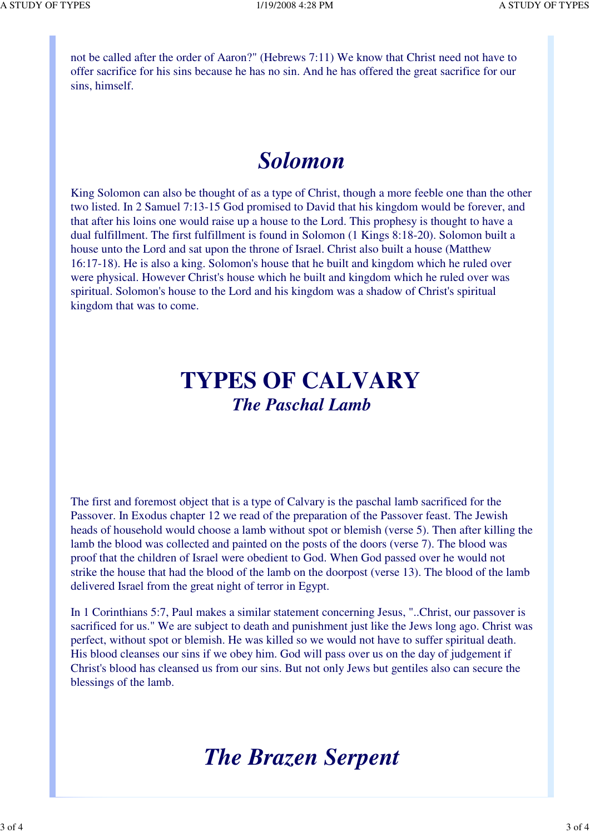not be called after the order of Aaron?" (Hebrews 7:11) We know that Christ need not have to offer sacrifice for his sins because he has no sin. And he has offered the great sacrifice for our sins, himself.

## *Solomon*

King Solomon can also be thought of as a type of Christ, though a more feeble one than the other two listed. In 2 Samuel 7:13-15 God promised to David that his kingdom would be forever, and that after his loins one would raise up a house to the Lord. This prophesy is thought to have a dual fulfillment. The first fulfillment is found in Solomon (1 Kings 8:18-20). Solomon built a house unto the Lord and sat upon the throne of Israel. Christ also built a house (Matthew 16:17-18). He is also a king. Solomon's house that he built and kingdom which he ruled over were physical. However Christ's house which he built and kingdom which he ruled over was spiritual. Solomon's house to the Lord and his kingdom was a shadow of Christ's spiritual kingdom that was to come.

## **TYPES OF CALVARY** *The Paschal Lamb*

The first and foremost object that is a type of Calvary is the paschal lamb sacrificed for the Passover. In Exodus chapter 12 we read of the preparation of the Passover feast. The Jewish heads of household would choose a lamb without spot or blemish (verse 5). Then after killing the lamb the blood was collected and painted on the posts of the doors (verse 7). The blood was proof that the children of Israel were obedient to God. When God passed over he would not strike the house that had the blood of the lamb on the doorpost (verse 13). The blood of the lamb delivered Israel from the great night of terror in Egypt.

In 1 Corinthians 5:7, Paul makes a similar statement concerning Jesus, "..Christ, our passover is sacrificed for us." We are subject to death and punishment just like the Jews long ago. Christ was perfect, without spot or blemish. He was killed so we would not have to suffer spiritual death. His blood cleanses our sins if we obey him. God will pass over us on the day of judgement if Christ's blood has cleansed us from our sins. But not only Jews but gentiles also can secure the blessings of the lamb.

## *The Brazen Serpent*